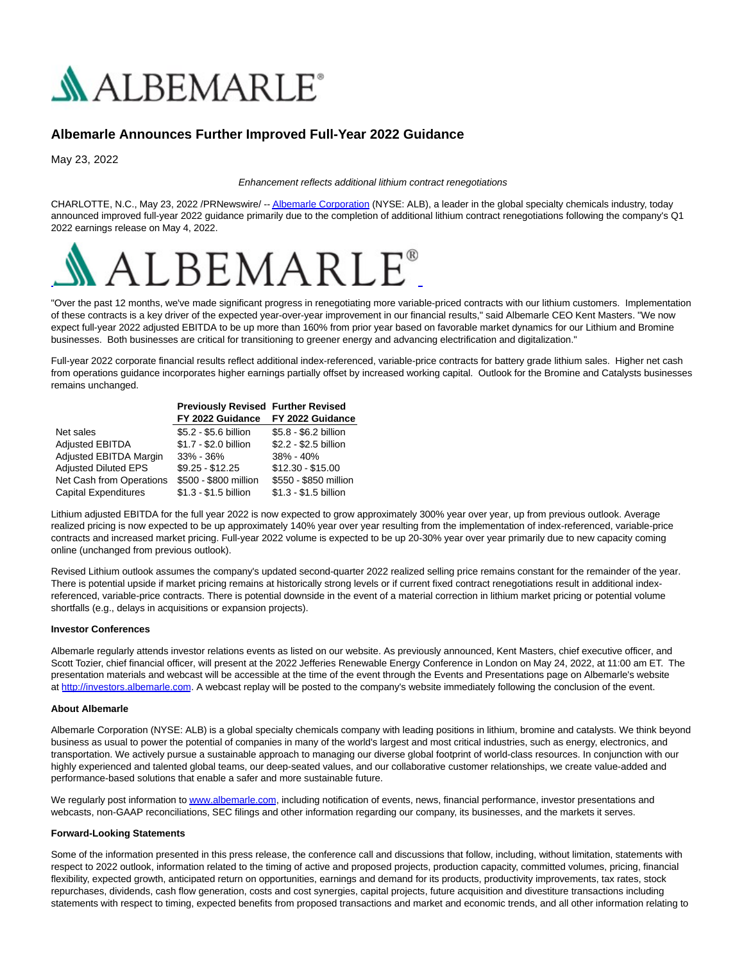

# **Albemarle Announces Further Improved Full-Year 2022 Guidance**

May 23, 2022

#### Enhancement reflects additional lithium contract renegotiations

CHARLOTTE, N.C., May 23, 2022 /PRNewswire/ -[- Albemarle Corporation \(](https://c212.net/c/link/?t=0&l=en&o=3545469-1&h=1651199028&u=http%3A%2F%2Fwww.albemarle.com%2F&a=Albemarle+Corporation)NYSE: ALB), a leader in the global specialty chemicals industry, today announced improved full-year 2022 guidance primarily due to the completion of additional lithium contract renegotiations following the company's Q1 2022 earnings release on May 4, 2022.



"Over the past 12 months, we've made significant progress in renegotiating more variable-priced contracts with our lithium customers. Implementation of these contracts is a key driver of the expected year-over-year improvement in our financial results," said Albemarle CEO Kent Masters. "We now expect full-year 2022 adjusted EBITDA to be up more than 160% from prior year based on favorable market dynamics for our Lithium and Bromine businesses. Both businesses are critical for transitioning to greener energy and advancing electrification and digitalization."

Full-year 2022 corporate financial results reflect additional index-referenced, variable-price contracts for battery grade lithium sales. Higher net cash from operations guidance incorporates higher earnings partially offset by increased working capital. Outlook for the Bromine and Catalysts businesses remains unchanged.

|                             | <b>Previously Revised Further Revised</b> |                       |
|-----------------------------|-------------------------------------------|-----------------------|
|                             | FY 2022 Guidance                          | FY 2022 Guidance      |
| Net sales                   | \$5.2 - \$5.6 billion                     | \$5.8 - \$6.2 billion |
| <b>Adjusted EBITDA</b>      | \$1.7 - \$2.0 billion                     | \$2.2 - \$2.5 billion |
| Adjusted EBITDA Margin      | $33\% - 36\%$                             | 38% - 40%             |
| <b>Adjusted Diluted EPS</b> | $$9.25 - $12.25$                          | $$12.30 - $15.00$     |
| Net Cash from Operations    | \$500 - \$800 million                     | \$550 - \$850 million |
| <b>Capital Expenditures</b> | \$1.3 - \$1.5 billion                     | \$1.3 - \$1.5 billion |

Lithium adjusted EBITDA for the full year 2022 is now expected to grow approximately 300% year over year, up from previous outlook. Average realized pricing is now expected to be up approximately 140% year over year resulting from the implementation of index-referenced, variable-price contracts and increased market pricing. Full-year 2022 volume is expected to be up 20-30% year over year primarily due to new capacity coming online (unchanged from previous outlook).

Revised Lithium outlook assumes the company's updated second-quarter 2022 realized selling price remains constant for the remainder of the year. There is potential upside if market pricing remains at historically strong levels or if current fixed contract renegotiations result in additional indexreferenced, variable-price contracts. There is potential downside in the event of a material correction in lithium market pricing or potential volume shortfalls (e.g., delays in acquisitions or expansion projects).

## **Investor Conferences**

Albemarle regularly attends investor relations events as listed on our website. As previously announced, Kent Masters, chief executive officer, and Scott Tozier, chief financial officer, will present at the 2022 Jefferies Renewable Energy Conference in London on May 24, 2022, at 11:00 am ET. The presentation materials and webcast will be accessible at the time of the event through the Events and Presentations page on Albemarle's website at [http://investors.albemarle.com.](https://c212.net/c/link/?t=0&l=en&o=3545469-1&h=508452933&u=https%3A%2F%2Fc212.net%2Fc%2Flink%2F%3Ft%3D0%26l%3Den%26o%3D3534125-1%26h%3D1391415344%26u%3Dhttp%253A%252F%252Finvestors.albemarle.com%252F%26a%3Dhttp%253A%252F%252Finvestors.albemarle.com&a=http%3A%2F%2Finvestors.albemarle.com) A webcast replay will be posted to the company's website immediately following the conclusion of the event.

## **About Albemarle**

Albemarle Corporation (NYSE: ALB) is a global specialty chemicals company with leading positions in lithium, bromine and catalysts. We think beyond business as usual to power the potential of companies in many of the world's largest and most critical industries, such as energy, electronics, and transportation. We actively pursue a sustainable approach to managing our diverse global footprint of world-class resources. In conjunction with our highly experienced and talented global teams, our deep-seated values, and our collaborative customer relationships, we create value-added and performance-based solutions that enable a safer and more sustainable future.

We regularly post information to [www.albemarle.com,](https://c212.net/c/link/?t=0&l=en&o=3545469-1&h=1282606305&u=http%3A%2F%2Fwww.albemarle.com%2F&a=www.albemarle.com) including notification of events, news, financial performance, investor presentations and webcasts, non-GAAP reconciliations, SEC filings and other information regarding our company, its businesses, and the markets it serves.

## **Forward-Looking Statements**

Some of the information presented in this press release, the conference call and discussions that follow, including, without limitation, statements with respect to 2022 outlook, information related to the timing of active and proposed projects, production capacity, committed volumes, pricing, financial flexibility, expected growth, anticipated return on opportunities, earnings and demand for its products, productivity improvements, tax rates, stock repurchases, dividends, cash flow generation, costs and cost synergies, capital projects, future acquisition and divestiture transactions including statements with respect to timing, expected benefits from proposed transactions and market and economic trends, and all other information relating to